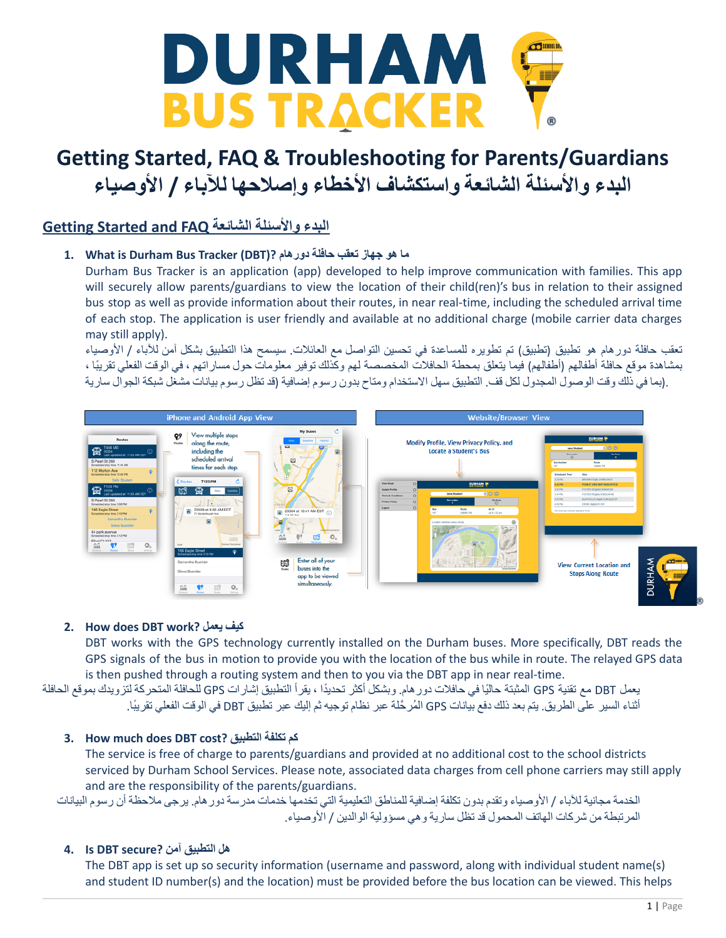

### **Getting Started and FAQ الشائعة واألسئلة البدء**

### **ما هو جهاز تعقب حافلة دورهام ?(DBT (Tracker Bus Durham is What 1.**

Durham Bus Tracker is an application (app) developed to help improve communication with families. This app will securely allow parents/guardians to view the location of their child(ren)'s bus in relation to their assigned bus stop as well as provide information about their routes, in near real-time, including the scheduled arrival time of each stop. The application is user friendly and available at no additional charge (mobile carrier data charges may still apply).

تعقب حافلة دورهام هو تطبيق )تطبيق( تم تطويره للمساعدة في تحسين التواصل مع العائالت. سيسمح هذا التطبيق بشكل آمن لآلباء / األوصياء بمشاهدة موقع حافلة أطفالهم (أطفالهم) فيما يتعلق بمحطة الحافلات المخصصة لهم وكذلك توفير معلومات حول مساراتهم ، في الوقت الفعلي تقريبًا ، .(بما في ذلك وقت الوصول المجدول لكل قف. التطبيق سهل الاستخدام ومتاح بدون رسوم إضافية (قد تظل رسوم بيانات مشغل شبكة الجوال سارية



### **2. How does DBT work? يعمل كيف**

DBT works with the GPS technology currently installed on the Durham buses. More specifically, DBT reads the GPS signals of the bus in motion to provide you with the location of the bus while in route. The relayed GPS data is then pushed through a routing system and then to you via the DBT app in near real-time.

يعمل DBT مع تقنية GPS المثبتة حالًيا في حافالت دورهام. وبشكل أكثر تحديًدا ، يقرأ التطبيق إشارات GPS للحافلة المتحركة لتزويدك بموقع الحافلة أثناء السير على الطريق. يتم بعد ذلك دفع بيانات GPS المُر حَّلة عبر نظام توجيه ثم إليك عبر تطبيق DBT في الوقت الفعلي تقريبًا.

#### **3. How much does DBT cost? التطبيق تكلفة كم**

The service is free of charge to parents/guardians and provided at no additional cost to the school districts serviced by Durham School Services. Please note, associated data charges from cell phone carriers may still apply and are the responsibility of the parents/guardians.

الخدمة مجانية لآلباء / األوصياء وتقدم بدون تكلفة إضافية للمناطق التعليمية التي تخدمها خدمات مدرسة دورهام. يرجى مالحظة أن رسوم البيانات المرتبطة من شركات الهاتف المحمول قد تظل سارية وهي مسؤولية الوالدين / األوصياء.

#### **هل التطبيق آمن ?secure DBT Is 4.**

The DBT app is set up so security information (username and password, along with individual student name(s) and student ID number(s) and the location) must be provided before the bus location can be viewed. This helps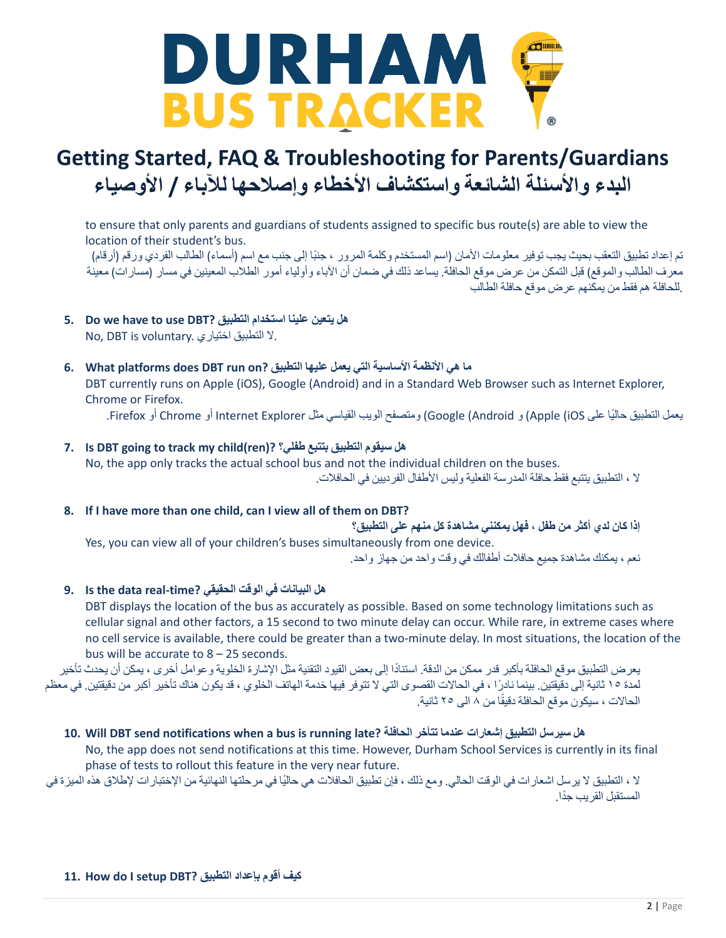

to ensure that only parents and guardians of students assigned to specific bus route(s) are able to view the location of their student's bus.

تم إعداد تطبيق التعقب بحيث يجب توفير معلومات الأمان (اسم المستخدم وكلمة المرور ، جنبًا إلى جنب مع اسم (أسماء) الطالب الفردي ورقم (أرقام) معرف الطالب والموقع) قبل التمكن من عرض موقع الحافلة. يساعد ذلك في ضمان أن الآباء وأولياء أمور الطلاب المعينين في مسار (مسار ات) معينة .للحافلة هم فقط من يمكنهم عرض موقع حافلة الطالب

- **5. Do we have to use DBT? التطبيق استخدام علينا يتعين هل** No, DBT is voluntary. اختياري التطبيق ال.
- **ما هي األنظمة األساسية التي يعمل عليها التطبيق ?on run DBT does platforms What 6.** DBT currently runs on Apple (iOS), Google (Android) and in a Standard Web Browser such as Internet Explorer, Chrome or Firefox.

يعمل التطبيق حاليًا على Apple (iOS) و Google (Android) ومتصفح الويب القياسي مثل Internet Explorer أو Chrome أو Firefox.

- **7. Is DBT going to track my child(ren)? طفلي؟ بتتبع التطبيق سيقوم هل** No, the app only tracks the actual school bus and not the individual children on the buses. ال ، التطبيق يتتبع فقط حافلة المدرسة الفعلية وليس األطفال الفرديين في الحافالت.
- **8. If I have more than one child, can I view all of them on DBT?**

**إذا كان لدي أكثر من طفل ، فهل يمكنني مشاهدة كل منهم على التطبيق؟** Yes, you can view all of your children's buses simultaneously from one device. نعم ، يمكنك مشاهدة جميع حافالت أطفالك في وقت واحد من جهاز واحد.

**هل البيانات في الوقت الحقيقي ?time-real data the Is 9.**

DBT displays the location of the bus as accurately as possible. Based on some technology limitations such as cellular signal and other factors, a 15 second to two minute delay can occur. While rare, in extreme cases where no cell service is available, there could be greater than a two-minute delay. In most situations, the location of the bus will be accurate to 8 – 25 seconds.

يعرض التطبيق موقع الحافلة بأكبر قدر ممكن من الدقة. استناًدا إلى بعض القيود التقنية مثل اإلشارة الخلوية وعوامل أخرى ،يمكن أن يحدث تأخير لمدة ١٥ ثانية إلى دقيقتين. بينما نادرًا ، في الحالات القصوى التي لا تتوفر فيها خدمة الهاتف الخلوي ، قد يكون هناك تأخير أكبر من دقيقتين. في معظم الحالات ، سيكون موقع الحافلة دقيقًا من ٨ الى ٢٥ ثانية.

هل سيرسل التطبيق إشعارات عندما تتأخر الحافلة ?10. Will DBT send notifications when a bus is running late

No, the app does not send notifications at this time. However, Durham School Services is currently in its final phase of tests to rollout this feature in the very near future.

ال ، التطبيق ال يرسل اشعارات في الوقت الحالي. ومع ذلك ، فإن تطبيق الحافالت هي حالًيا في مرحلتها النهائية من اإلختبارات إلطالق هذه الميزة في المستقبل القريب جًدا.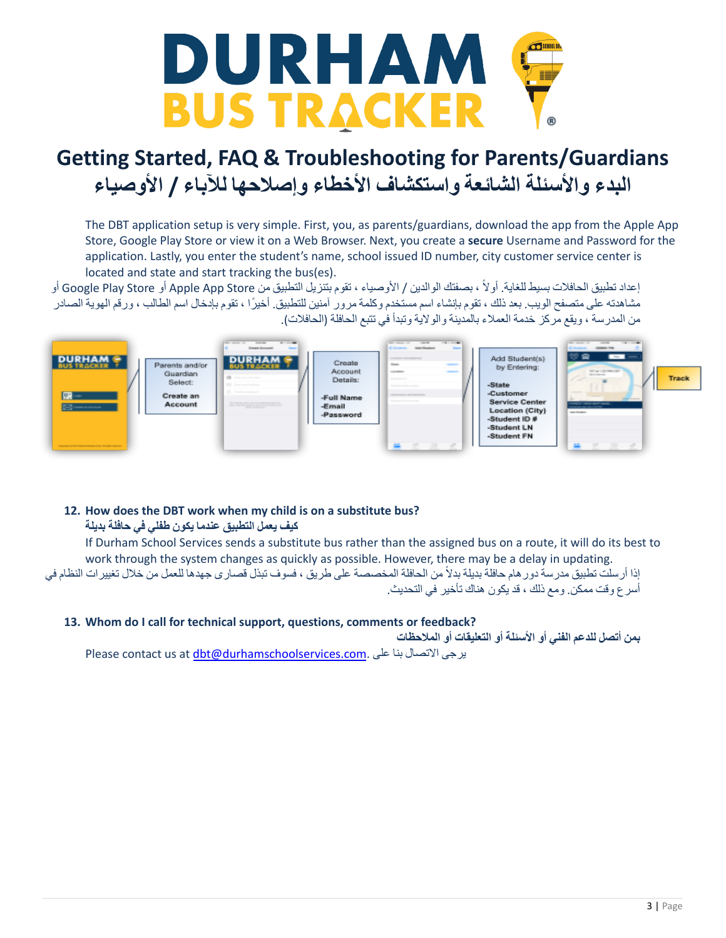

The DBT application setup is very simple. First, you, as parents/guardians, download the app from the Apple App Store, Google Play Store or view it on a Web Browser. Next, you create a **secure** Username and Password for the application. Lastly, you enter the student's name, school issued ID number, city customer service center is located and state and start tracking the bus(es).

إعداد تطبيق الحافلات بسيط للغاية. أو لاً ، بصفتك الوالدين / الأوصياء ، تقوم بتنزيل التطبيق من Apple App Store أو Google Play Store أو مشاهدته على متصفح الويب. بعد ذلك ، تقوم بإنشاء اسم مستخدم وكلمة مرور آمنين للتطبيق. أخيرًا ، تقوم بإدخال اسم الطالب ، ورقم الهوية الصادر من المدرسة ، ويقع مركز خدمة العملاء بالمدينة والولاية وتبدأ في تتبع الحافلة (الحافلات).



### **12. How does the DBT work when my child is on a substitute bus?**

**كيف يعمل التطبيق عندما يكون طفلي في حافلة بديلة**

If Durham School Services sends a substitute bus rather than the assigned bus on a route, it will do its best to work through the system changes as quickly as possible. However, there may be a delay in updating. إذا أرسلت تطبيق مدرسة دورهام حافلة بديلة بدالً من الحافلة المخصصة على طريق ، فسوف تبذل قصارى جهدها للعمل من خالل تغييرات النظام في أسرع وقت ممكن. ومع ذلك ، قد يكون هناك تأخير في التحديث.

### **13. Whom do I call for technical support, questions, comments or feedback?**

**بمن أتصل للدعم الفني أو األسئلة أو التعليقات أو المالحظات**

Please contact us at [dbt@durhamschoolservices.com](mailto:dbt@durhamschoolservices.com). على بنا االتصال يرجى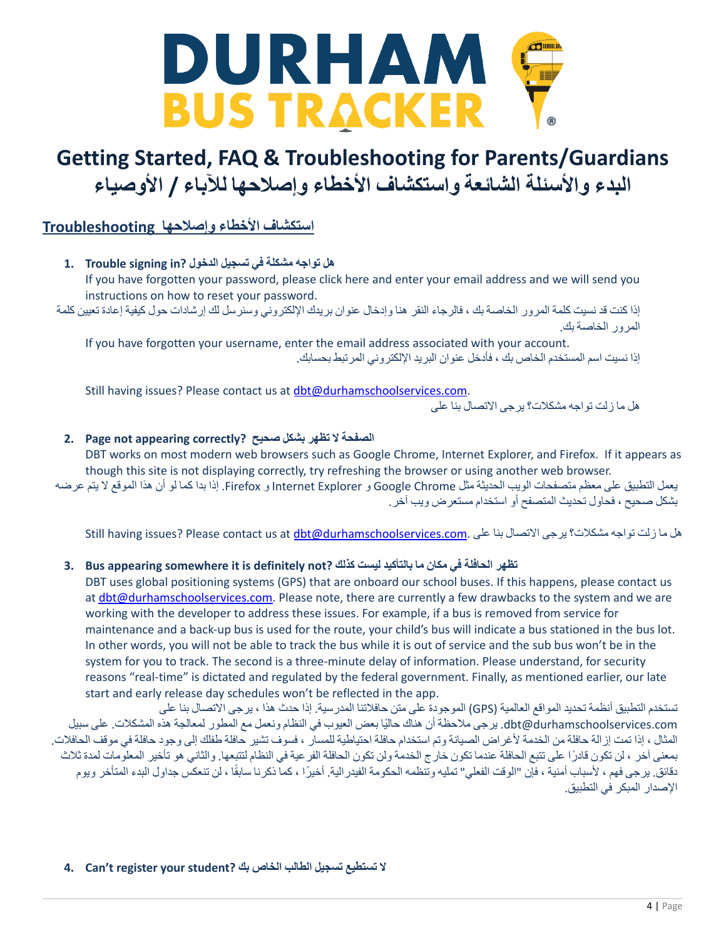

### **استكشاف األخطاء وإصالحها Troubleshooting**

**هل تواجه مشكلة في تسجيل الدخول ?in signing Trouble 1.** If you have forgotten your password, please click here and enter your email address and we will send you

instructions on how to reset your password. إذا كنت قد نسيت كلمة المرور الخاصة بك ، فالرجاء النقر هنا وإدخال عنوان بريدك اإللكتروني وسنرسل لك إرشادات حول كيفية إعادة تعيين كلمة المرور الخاصة بك.

If you have forgotten your username, enter the email address associated with your account. إذا نسيت اسم المستخدم الخاص بك ، فأدخل عنوان البريد اإللكتروني المرتبط بحسابك.

Still having issues? Please contact us at [dbt@durhamschoolservices.com](mailto:dbt@durhamschoolservices.com). هل ما زلت تواجه مشكالت؟ يرجى االتصال بنا على

### **الصفحة ال تظهر بشكل صحيح ?correctly appearing not Page 2.**

DBT works on most modern web browsers such as Google Chrome, Internet Explorer, and Firefox. If it appears as though this site is not displaying correctly, try refreshing the browser or using another web browser.

يعمل التطبيق على معظم متصفحات الويب الحديثة مثل Chrome Google و Explorer Internet و Firefox. إذا بدا كما لو أن هذا الموقع ال يتم عرضه بشكل صحيح ، فحاول تحديث المتصفح أو استخدام مستعرض ويب آخر.

هل ما زلت تواجه مشكلات؟ برجى الاتصال بنا على .Still having issues? Please contact us at [dbt@durhamschoolservices.com](mailto:dbt@durhamschoolservices.com)

### **تظهر الحافلة في مكان ما بالتأكيد ليست كذلك ?not definitely is it somewhere appearing Bus 3.**

DBT uses global positioning systems (GPS) that are onboard our school buses. If this happens, please contact us at [dbt@durhamschoolservices.com.](mailto:dbt@durhamschoolservices.com) Please note, there are currently a few drawbacks to the system and we are working with the developer to address these issues. For example, if a bus is removed from service for maintenance and a back-up bus is used for the route, your child's bus will indicate a bus stationed in the bus lot. In other words, you will not be able to track the bus while it is out of service and the sub bus won't be in the system for you to track. The second is a three-minute delay of information. Please understand, for security reasons "real-time" is dictated and regulated by the federal government. Finally, as mentioned earlier, our late start and early release day schedules won't be reflected in the app.

تستخدم التطبيق أنظمة تحديد المواقع العالمية )GPS )الموجودة على متن حافالتنا المدرسية. إذا حدث هذا ،يرجى االتصال بنا على com.durhamschoolservices@dbt. يرجى مالحظة أن هناك حالًيا بعض العيوب في النظام ونعمل مع المطور لمعالجة هذه المشكالت. على سبيل المثال ، إذا تمت إزالة حافلة من الخدمة ألغراض الصيانة وتم استخدام حافلة احتياطية للمسار ، فسوف تشير حافلة طفلك إلى وجود حافلة في موقف الحافالت. بمعنى آخر ، لن تكون قادرًا على تتبع الحافلة عندما تكون خارج الخدمة ولن تكون الحافلة الفرعية في النظام لتتبعها. والثاني هو تأخير المعلومات لمدة ثلاث دقائق. يرجى فهم ، لأسباب أمنية ، فإن "الوقت الفعلي" تمليه وتنظمه الحكومة الفيدرالية. أخيرًا ، كما ذكرنا سابقًا ، لن تنعكس جداول البدء المتأخر ويوم اإلصدار المبكر في التطبيق.